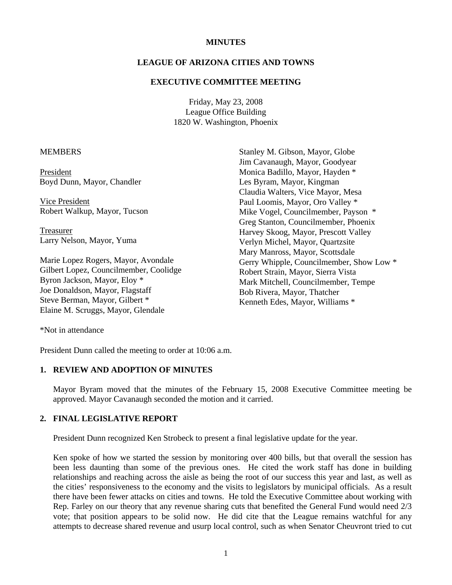#### **MINUTES**

#### **LEAGUE OF ARIZONA CITIES AND TOWNS**

#### **EXECUTIVE COMMITTEE MEETING**

Friday, May 23, 2008 League Office Building 1820 W. Washington, Phoenix

#### **MEMBERS**

President Boyd Dunn, Mayor, Chandler

 Vice President Robert Walkup, Mayor, Tucson

 Treasurer Larry Nelson, Mayor, Yuma

Marie Lopez Rogers, Mayor, Avondale Gilbert Lopez, Councilmember, Coolidge Byron Jackson, Mayor, Eloy \* Joe Donaldson, Mayor, Flagstaff Steve Berman, Mayor, Gilbert \* Elaine M. Scruggs, Mayor, Glendale

Stanley M. Gibson, Mayor, Globe Jim Cavanaugh, Mayor, Goodyear Monica Badillo, Mayor, Hayden \* Les Byram, Mayor, Kingman Claudia Walters, Vice Mayor, Mesa Paul Loomis, Mayor, Oro Valley \* Mike Vogel, Councilmember, Payson \* Greg Stanton, Councilmember, Phoenix Harvey Skoog, Mayor, Prescott Valley Verlyn Michel, Mayor, Quartzsite Mary Manross, Mayor, Scottsdale Gerry Whipple, Councilmember, Show Low \* Robert Strain, Mayor, Sierra Vista Mark Mitchell, Councilmember, Tempe Bob Rivera, Mayor, Thatcher Kenneth Edes, Mayor, Williams \*

\*Not in attendance

President Dunn called the meeting to order at 10:06 a.m.

#### **1. REVIEW AND ADOPTION OF MINUTES**

Mayor Byram moved that the minutes of the February 15, 2008 Executive Committee meeting be approved. Mayor Cavanaugh seconded the motion and it carried.

## **2. FINAL LEGISLATIVE REPORT**

President Dunn recognized Ken Strobeck to present a final legislative update for the year.

Ken spoke of how we started the session by monitoring over 400 bills, but that overall the session has been less daunting than some of the previous ones. He cited the work staff has done in building relationships and reaching across the aisle as being the root of our success this year and last, as well as the cities' responsiveness to the economy and the visits to legislators by municipal officials. As a result there have been fewer attacks on cities and towns. He told the Executive Committee about working with Rep. Farley on our theory that any revenue sharing cuts that benefited the General Fund would need 2/3 vote; that position appears to be solid now. He did cite that the League remains watchful for any attempts to decrease shared revenue and usurp local control, such as when Senator Cheuvront tried to cut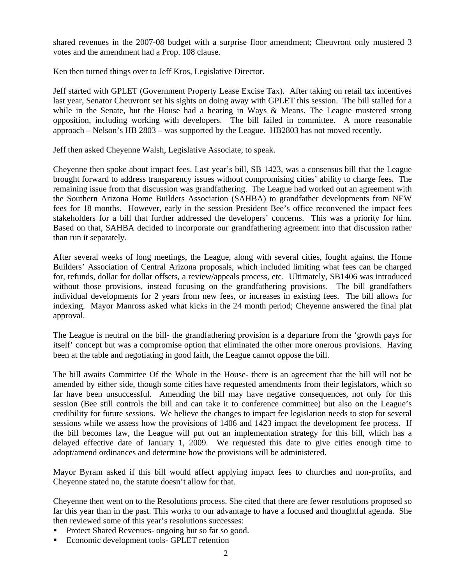shared revenues in the 2007-08 budget with a surprise floor amendment; Cheuvront only mustered 3 votes and the amendment had a Prop. 108 clause.

Ken then turned things over to Jeff Kros, Legislative Director.

Jeff started with GPLET (Government Property Lease Excise Tax). After taking on retail tax incentives last year, Senator Cheuvront set his sights on doing away with GPLET this session. The bill stalled for a while in the Senate, but the House had a hearing in Ways & Means. The League mustered strong opposition, including working with developers. The bill failed in committee. A more reasonable approach – Nelson's HB 2803 – was supported by the League. HB2803 has not moved recently.

Jeff then asked Cheyenne Walsh, Legislative Associate, to speak.

Cheyenne then spoke about impact fees. Last year's bill, SB 1423, was a consensus bill that the League brought forward to address transparency issues without compromising cities' ability to charge fees. The remaining issue from that discussion was grandfathering. The League had worked out an agreement with the Southern Arizona Home Builders Association (SAHBA) to grandfather developments from NEW fees for 18 months. However, early in the session President Bee's office reconvened the impact fees stakeholders for a bill that further addressed the developers' concerns. This was a priority for him. Based on that, SAHBA decided to incorporate our grandfathering agreement into that discussion rather than run it separately.

After several weeks of long meetings, the League, along with several cities, fought against the Home Builders' Association of Central Arizona proposals, which included limiting what fees can be charged for, refunds, dollar for dollar offsets, a review/appeals process, etc. Ultimately, SB1406 was introduced without those provisions, instead focusing on the grandfathering provisions. The bill grandfathers individual developments for 2 years from new fees, or increases in existing fees. The bill allows for indexing. Mayor Manross asked what kicks in the 24 month period; Cheyenne answered the final plat approval.

The League is neutral on the bill- the grandfathering provision is a departure from the 'growth pays for itself' concept but was a compromise option that eliminated the other more onerous provisions. Having been at the table and negotiating in good faith, the League cannot oppose the bill.

The bill awaits Committee Of the Whole in the House- there is an agreement that the bill will not be amended by either side, though some cities have requested amendments from their legislators, which so far have been unsuccessful. Amending the bill may have negative consequences, not only for this session (Bee still controls the bill and can take it to conference committee) but also on the League's credibility for future sessions. We believe the changes to impact fee legislation needs to stop for several sessions while we assess how the provisions of 1406 and 1423 impact the development fee process. If the bill becomes law, the League will put out an implementation strategy for this bill, which has a delayed effective date of January 1, 2009. We requested this date to give cities enough time to adopt/amend ordinances and determine how the provisions will be administered.

Mayor Byram asked if this bill would affect applying impact fees to churches and non-profits, and Cheyenne stated no, the statute doesn't allow for that.

Cheyenne then went on to the Resolutions process. She cited that there are fewer resolutions proposed so far this year than in the past. This works to our advantage to have a focused and thoughtful agenda. She then reviewed some of this year's resolutions successes:

- Protect Shared Revenues- ongoing but so far so good.
- Economic development tools- GPLET retention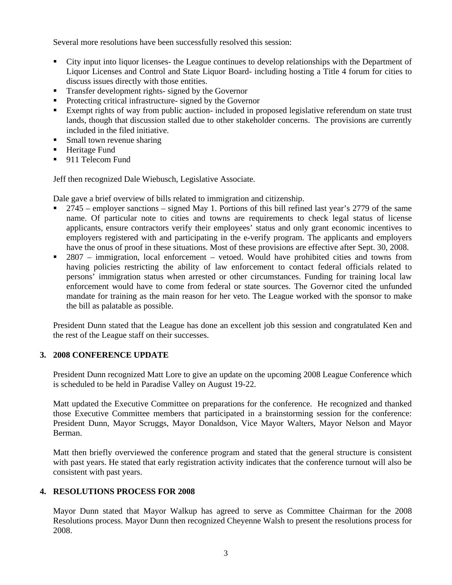Several more resolutions have been successfully resolved this session:

- City input into liquor licenses- the League continues to develop relationships with the Department of Liquor Licenses and Control and State Liquor Board- including hosting a Title 4 forum for cities to discuss issues directly with those entities.
- **Transfer development rights- signed by the Governor**
- Protecting critical infrastructure- signed by the Governor
- Exempt rights of way from public auction- included in proposed legislative referendum on state trust lands, though that discussion stalled due to other stakeholder concerns. The provisions are currently included in the filed initiative.
- Small town revenue sharing
- **Heritage Fund**
- 911 Telecom Fund

Jeff then recognized Dale Wiebusch, Legislative Associate.

Dale gave a brief overview of bills related to immigration and citizenship.

- 2745 employer sanctions signed May 1. Portions of this bill refined last year's 2779 of the same name. Of particular note to cities and towns are requirements to check legal status of license applicants, ensure contractors verify their employees' status and only grant economic incentives to employers registered with and participating in the e-verify program. The applicants and employers have the onus of proof in these situations. Most of these provisions are effective after Sept. 30, 2008.
- 2807 immigration, local enforcement vetoed. Would have prohibited cities and towns from having policies restricting the ability of law enforcement to contact federal officials related to persons' immigration status when arrested or other circumstances. Funding for training local law enforcement would have to come from federal or state sources. The Governor cited the unfunded mandate for training as the main reason for her veto. The League worked with the sponsor to make the bill as palatable as possible.

President Dunn stated that the League has done an excellent job this session and congratulated Ken and the rest of the League staff on their successes.

## **3. 2008 CONFERENCE UPDATE**

President Dunn recognized Matt Lore to give an update on the upcoming 2008 League Conference which is scheduled to be held in Paradise Valley on August 19-22.

Matt updated the Executive Committee on preparations for the conference. He recognized and thanked those Executive Committee members that participated in a brainstorming session for the conference: President Dunn, Mayor Scruggs, Mayor Donaldson, Vice Mayor Walters, Mayor Nelson and Mayor Berman.

Matt then briefly overviewed the conference program and stated that the general structure is consistent with past years. He stated that early registration activity indicates that the conference turnout will also be consistent with past years.

## **4. RESOLUTIONS PROCESS FOR 2008**

Mayor Dunn stated that Mayor Walkup has agreed to serve as Committee Chairman for the 2008 Resolutions process. Mayor Dunn then recognized Cheyenne Walsh to present the resolutions process for 2008.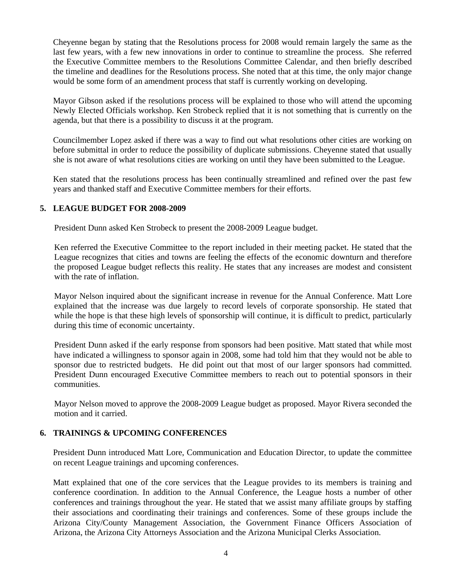Cheyenne began by stating that the Resolutions process for 2008 would remain largely the same as the last few years, with a few new innovations in order to continue to streamline the process. She referred the Executive Committee members to the Resolutions Committee Calendar, and then briefly described the timeline and deadlines for the Resolutions process. She noted that at this time, the only major change would be some form of an amendment process that staff is currently working on developing.

Mayor Gibson asked if the resolutions process will be explained to those who will attend the upcoming Newly Elected Officials workshop. Ken Strobeck replied that it is not something that is currently on the agenda, but that there is a possibility to discuss it at the program.

Councilmember Lopez asked if there was a way to find out what resolutions other cities are working on before submittal in order to reduce the possibility of duplicate submissions. Cheyenne stated that usually she is not aware of what resolutions cities are working on until they have been submitted to the League.

Ken stated that the resolutions process has been continually streamlined and refined over the past few years and thanked staff and Executive Committee members for their efforts.

## **5. LEAGUE BUDGET FOR 2008-2009**

President Dunn asked Ken Strobeck to present the 2008-2009 League budget.

Ken referred the Executive Committee to the report included in their meeting packet. He stated that the League recognizes that cities and towns are feeling the effects of the economic downturn and therefore the proposed League budget reflects this reality. He states that any increases are modest and consistent with the rate of inflation.

Mayor Nelson inquired about the significant increase in revenue for the Annual Conference. Matt Lore explained that the increase was due largely to record levels of corporate sponsorship. He stated that while the hope is that these high levels of sponsorship will continue, it is difficult to predict, particularly during this time of economic uncertainty.

President Dunn asked if the early response from sponsors had been positive. Matt stated that while most have indicated a willingness to sponsor again in 2008, some had told him that they would not be able to sponsor due to restricted budgets. He did point out that most of our larger sponsors had committed. President Dunn encouraged Executive Committee members to reach out to potential sponsors in their communities.

Mayor Nelson moved to approve the 2008-2009 League budget as proposed. Mayor Rivera seconded the motion and it carried.

## **6. TRAININGS & UPCOMING CONFERENCES**

President Dunn introduced Matt Lore, Communication and Education Director, to update the committee on recent League trainings and upcoming conferences.

Matt explained that one of the core services that the League provides to its members is training and conference coordination. In addition to the Annual Conference, the League hosts a number of other conferences and trainings throughout the year. He stated that we assist many affiliate groups by staffing their associations and coordinating their trainings and conferences. Some of these groups include the Arizona City/County Management Association, the Government Finance Officers Association of Arizona, the Arizona City Attorneys Association and the Arizona Municipal Clerks Association.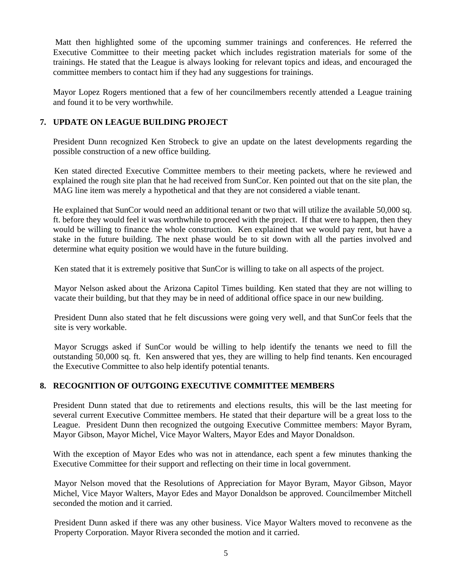Matt then highlighted some of the upcoming summer trainings and conferences. He referred the Executive Committee to their meeting packet which includes registration materials for some of the trainings. He stated that the League is always looking for relevant topics and ideas, and encouraged the committee members to contact him if they had any suggestions for trainings.

Mayor Lopez Rogers mentioned that a few of her councilmembers recently attended a League training and found it to be very worthwhile.

# **7. UPDATE ON LEAGUE BUILDING PROJECT**

 President Dunn recognized Ken Strobeck to give an update on the latest developments regarding the possible construction of a new office building.

 Ken stated directed Executive Committee members to their meeting packets, where he reviewed and explained the rough site plan that he had received from SunCor. Ken pointed out that on the site plan, the MAG line item was merely a hypothetical and that they are not considered a viable tenant.

He explained that SunCor would need an additional tenant or two that will utilize the available 50,000 sq. ft. before they would feel it was worthwhile to proceed with the project. If that were to happen, then they would be willing to finance the whole construction. Ken explained that we would pay rent, but have a stake in the future building. The next phase would be to sit down with all the parties involved and determine what equity position we would have in the future building.

Ken stated that it is extremely positive that SunCor is willing to take on all aspects of the project.

Mayor Nelson asked about the Arizona Capitol Times building. Ken stated that they are not willing to vacate their building, but that they may be in need of additional office space in our new building.

President Dunn also stated that he felt discussions were going very well, and that SunCor feels that the site is very workable.

 Mayor Scruggs asked if SunCor would be willing to help identify the tenants we need to fill the outstanding 50,000 sq. ft. Ken answered that yes, they are willing to help find tenants. Ken encouraged the Executive Committee to also help identify potential tenants.

# **8. RECOGNITION OF OUTGOING EXECUTIVE COMMITTEE MEMBERS**

President Dunn stated that due to retirements and elections results, this will be the last meeting for several current Executive Committee members. He stated that their departure will be a great loss to the League. President Dunn then recognized the outgoing Executive Committee members: Mayor Byram, Mayor Gibson, Mayor Michel, Vice Mayor Walters, Mayor Edes and Mayor Donaldson.

 With the exception of Mayor Edes who was not in attendance, each spent a few minutes thanking the Executive Committee for their support and reflecting on their time in local government.

 Mayor Nelson moved that the Resolutions of Appreciation for Mayor Byram, Mayor Gibson, Mayor Michel, Vice Mayor Walters, Mayor Edes and Mayor Donaldson be approved. Councilmember Mitchell seconded the motion and it carried.

President Dunn asked if there was any other business. Vice Mayor Walters moved to reconvene as the Property Corporation. Mayor Rivera seconded the motion and it carried.